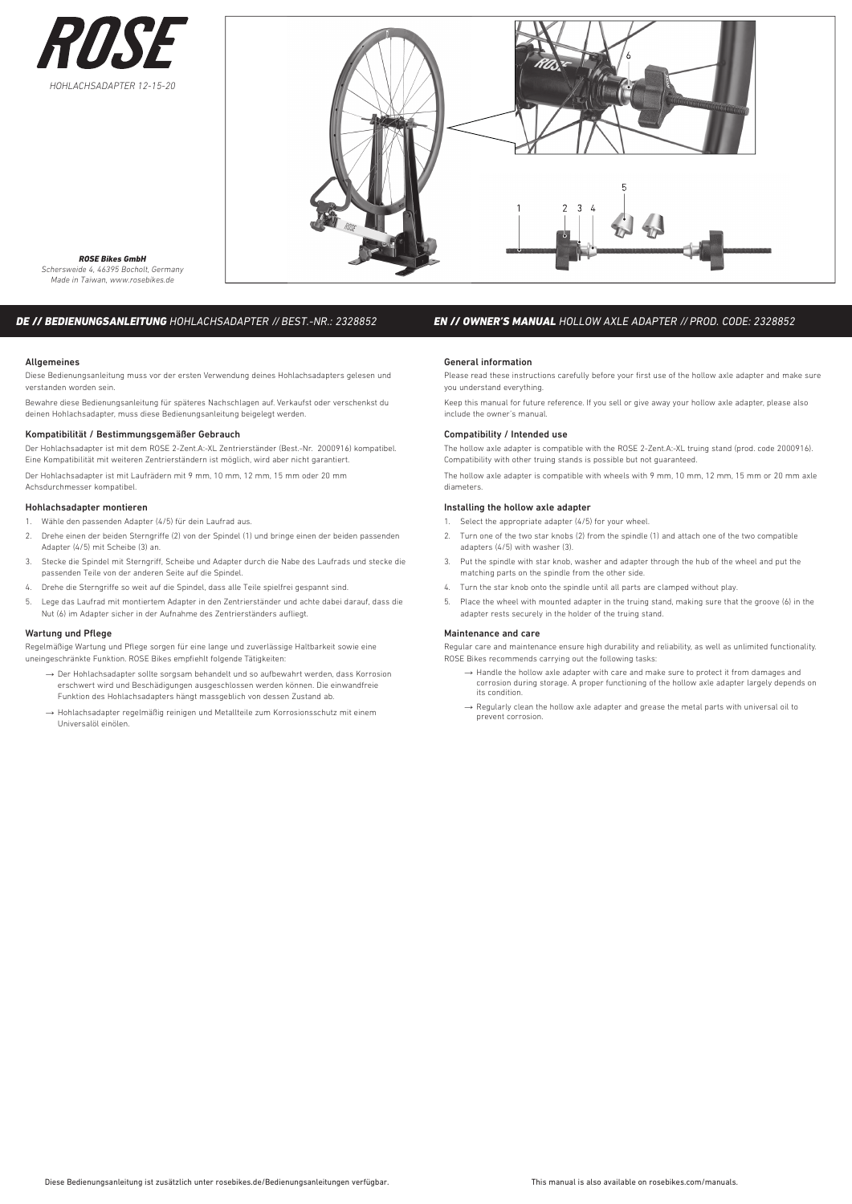



#### *ROSE Bikes GmbH Schersweide 4, 46395 Bocholt, Germany Made in Taiwan, www.rosebikes.de*

## *DE // BEDIENUNGSANLEITUNG HOHLACHSADAPTER // BEST.-NR.: 2328852*

### **Allgemeines**

Diese Bedienungsanleitung muss vor der ersten Verwendung deines Hohlachsadapters gelesen und verstanden worden sein.

Bewahre diese Bedienungsanleitung für späteres Nachschlagen auf. Verkaufst oder verschenkst du deinen Hohlachsadapter, muss diese Bedienungsanleitung beigelegt werden.

## Kompatibilität / Bestimmungsgemäßer Gebrauch

Der Hohlachsadapter ist mit dem ROSE 2-Zent.A:-XL Zentrierständer (Best.-Nr. 2000916) kompatibel. Eine Kompatibilität mit weiteren Zentrierständern ist möglich, wird aber nicht garantiert. Der Hohlachsadapter ist mit Laufrädern mit 9 mm, 10 mm, 12 mm, 15 mm oder 20 mm Achsdurchmesser kompatibel.

## Hohlachsadapter montieren

1. Wähle den passenden Adapter (4/5) für dein Laufrad aus.

- 2. Drehe einen der beiden Sterngriffe (2) von der Spindel (1) und bringe einen der beiden passenden Adapter (4/5) mit Scheibe (3) an.
- 3. Stecke die Spindel mit Sterngriff, Scheibe und Adapter durch die Nabe des Laufrads und stecke die passenden Teile von der anderen Seite auf die Spindel.
- 4. Drehe die Sterngriffe so weit auf die Spindel, dass alle Teile spielfrei gespannt sind.
- 5. Lege das Laufrad mit montiertem Adapter in den Zentrierständer und achte dabei darauf, dass die Nut (6) im Adapter sicher in der Aufnahme des Zentrierständers aufliegt.

## Wartung und Pflege

Regelmäßige Wartung und Pflege sorgen für eine lange und zuverlässige Haltbarkeit sowie eine uneingeschränkte Funktion. ROSE Bikes empfiehlt folgende Tätigkeiten:

- → Der Hohlachsadapter sollte sorgsam behandelt und so aufbewahrt werden, dass Korrosion erschwert wird und Beschädigungen ausgeschlossen werden können. Die einwandfreie Funktion des Hohlachsadapters hängt massgeblich von dessen Zustand ab.
- → Hohlachsadapter regelmäßig reinigen und Metallteile zum Korrosionsschutz mit einem Universalöl einölen.

# *EN // OWNER'S MANUAL HOLLOW AXLE ADAPTER // PROD. CODE: 2328852*

### General information

Please read these instructions carefully before your first use of the hollow axle adapter and make sure you understand everything.

Keep this manual for future reference. If you sell or give away your hollow axle adapter, please also include the owner's manual.

### Compatibility / Intended use

The hollow axle adapter is compatible with the ROSE 2-Zent.A:-XL truing stand (prod. code 2000916). Compatibility with other truing stands is possible but not guaranteed.

The hollow axle adapter is compatible with wheels with 9 mm, 10 mm, 12 mm, 15 mm or 20 mm axle diameters.

## Installing the hollow axle adapter

- 1. Select the appropriate adapter (4/5) for your wheel.
- 2. Turn one of the two star knobs (2) from the spindle (1) and attach one of the two compatible adapters (4/5) with washer (3).
- 3. Put the spindle with star knob, washer and adapter through the hub of the wheel and put the matching parts on the spindle from the other side.
- 4. Turn the star knob onto the spindle until all parts are clamped without play.
- Place the wheel with mounted adapter in the truing stand, making sure that the groove (6) in the adapter rests securely in the holder of the truing stand.

### Maintenance and care

Regular care and maintenance ensure high durability and reliability, as well as unlimited functionality. ROSE Bikes recommends carrying out the following tasks:

- $\rightarrow$  Handle the hollow axle adapter with care and make sure to protect it from damages and corrosion during storage. A proper functioning of the hollow axle adapter largely depends on its condition.
- → Regularly clean the hollow axle adapter and grease the metal parts with universal oil to prevent corrosion.